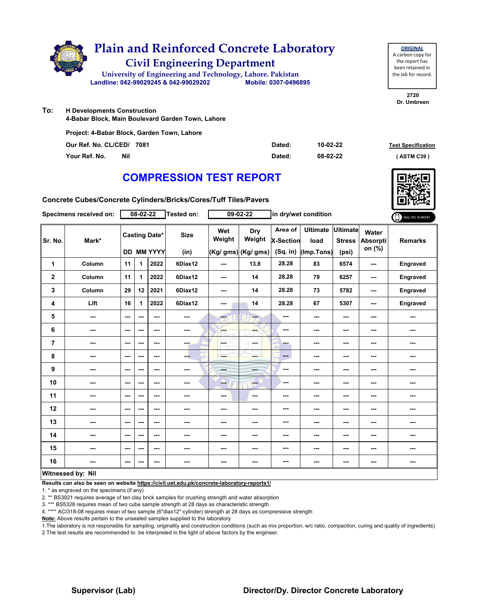

**To: H Developments Construction**

**4-Babar Block, Main Boulevard Garden Town, Lahore**

|                           | Project: 4-Babar Block, Garden Town, Lahore |        |                |                           |
|---------------------------|---------------------------------------------|--------|----------------|---------------------------|
| Our Ref. No. CL/CED/ 7081 |                                             | Dated: | $10 - 02 - 22$ | <b>Test Specification</b> |
| Your Ref. No.             | Nil                                         | Dated: | 08-02-22       | (ASTM C39)                |

**2720 Dr. Umbreen**

**ORIGINAL** A carbon copy for the report has been retained in the lab for record.

# **COMPRESSION TEST REPORT**

**Concrete Cubes/Concrete Cylinders/Bricks/Cores/Tuff Tiles/Pavers**

|             | Specimens received on: |               | 08-02-22 |                                           | Tested on:               |               | 09-02-22                                                                                                                                                                                                                                                                                                                                                                                                              | in dry/wet condition                      |                                       |                                           |                             | ONLINE REPORT  |
|-------------|------------------------|---------------|----------|-------------------------------------------|--------------------------|---------------|-----------------------------------------------------------------------------------------------------------------------------------------------------------------------------------------------------------------------------------------------------------------------------------------------------------------------------------------------------------------------------------------------------------------------|-------------------------------------------|---------------------------------------|-------------------------------------------|-----------------------------|----------------|
| Sr. No.     | Mark*                  |               |          | <b>Casting Date*</b><br><b>DD MM YYYY</b> | <b>Size</b><br>(in)      | Wet<br>Weight | Dry<br>Weight<br>(Kg/ gms) (Kg/ gms)                                                                                                                                                                                                                                                                                                                                                                                  | Area of<br><b>X-Section</b><br>$(Sq.$ in) | <b>Ultimate</b><br>load<br>(Imp.Tons) | <b>Ultimate</b><br><b>Stress</b><br>(psi) | Water<br>Absorpti<br>on (%) | <b>Remarks</b> |
| 1           | Column                 | 11            | 1        | 2022                                      | 6Diax12                  | ---           | 13.8                                                                                                                                                                                                                                                                                                                                                                                                                  | 28.28                                     | 83                                    | 6574                                      | ---                         | Engraved       |
| $\mathbf 2$ | Column                 | 11            | 1        | 2022                                      | 6Diax12                  | ---           | 14                                                                                                                                                                                                                                                                                                                                                                                                                    | 28.28                                     | 79                                    | 6257                                      | ---                         | Engraved       |
| 3           | Column                 | 29            | 12       | 2021                                      | 6Diax12                  | ---           | 14                                                                                                                                                                                                                                                                                                                                                                                                                    | 28.28                                     | 73                                    | 5782                                      | ---                         | Engraved       |
| 4           | Lift                   | 16            | 1        | 2022                                      | 6Diax12                  | ---           | 14                                                                                                                                                                                                                                                                                                                                                                                                                    | 28.28                                     | 67                                    | 5307                                      | ---                         | Engraved       |
| 5           | ---                    | ---           | ---      | ---                                       | $\frac{1}{2}$            | ---           | $-$                                                                                                                                                                                                                                                                                                                                                                                                                   | ---                                       | ---                                   | ---                                       | ---                         | ---            |
| 6           | ---                    | ---           | ---      | $--$                                      | $\overline{\phantom{a}}$ | ---           | ---                                                                                                                                                                                                                                                                                                                                                                                                                   | ---                                       | ---                                   | ---                                       | ---                         | ---            |
| 7           | ---                    | ---           | ---      | $--$                                      | ---                      | posts.        | ---                                                                                                                                                                                                                                                                                                                                                                                                                   | ---                                       | ---                                   | ---                                       | ---                         | ---            |
| 8           | ---                    | ---           | ---      | ---                                       | ---                      | ---           | ---                                                                                                                                                                                                                                                                                                                                                                                                                   | ---                                       | ---                                   | ---                                       | ---                         | ---            |
| 9           | ---                    | ---           | ---      | ---                                       | ---                      | <b>STATE</b>  | ---                                                                                                                                                                                                                                                                                                                                                                                                                   | ---                                       | ---                                   | ---                                       | ---                         | ---            |
| 10          | ---                    | $\sim$ $\sim$ | ---      | ---                                       | ---                      | --            | $\frac{1}{1-\frac{1}{1-\frac{1}{1-\frac{1}{1-\frac{1}{1-\frac{1}{1-\frac{1}{1-\frac{1}{1-\frac{1}{1-\frac{1}{1-\frac{1}{1-\frac{1}{1-\frac{1}{1-\frac{1}{1-\frac{1}{1-\frac{1}{1-\frac{1}{1-\frac{1}{1-\frac{1}{1-\frac{1}{1-\frac{1}{1-\frac{1}{1-\frac{1}{1-\frac{1}{1-\frac{1}{1-\frac{1}{1-\frac{1}{1-\frac{1}{1-\frac{1}{1-\frac{1}{1-\frac{1}{1-\frac{1}{1-\frac{1}{1-\frac{1}{1-\frac{1}{1-\frac{1}{1-\frac{1$ | ---                                       | ---                                   | $--$                                      | ---                         | ---            |
| 11          | ---                    | ---           | ---      | ---                                       | ---                      | ---           | $\sim$                                                                                                                                                                                                                                                                                                                                                                                                                | ---                                       | ---                                   | ---                                       | ---                         | ---            |
| 12          | ---                    | $\sim$ $\sim$ | ---      | $- - -$                                   | ---                      | ---           | ---                                                                                                                                                                                                                                                                                                                                                                                                                   | ---                                       | ---                                   | ---                                       | ---                         | ---            |
| 13          | ---                    | ---           | ---      | ---                                       | $\sim$                   | ---           | ---                                                                                                                                                                                                                                                                                                                                                                                                                   | ---                                       | ---                                   | ---                                       | ---                         | ---            |
| 14          | ---                    | $--$          | ---      | $--$                                      | $\cdots$                 | ---           | ---                                                                                                                                                                                                                                                                                                                                                                                                                   | ---                                       | ---                                   | ---                                       | ---                         | ---            |
| 15          | ---                    | $\cdots$      | ---      | ---                                       | ---                      | ---           |                                                                                                                                                                                                                                                                                                                                                                                                                       | ---                                       | ---                                   | ---                                       | ---                         | ---            |
| 16          | ---                    | ---           | ---      | ---                                       | ---                      | ---           | ---                                                                                                                                                                                                                                                                                                                                                                                                                   | ---                                       | ---                                   | ---                                       | ---                         | ---            |
|             | Witnessed by: Nil      |               |          |                                           |                          |               |                                                                                                                                                                                                                                                                                                                                                                                                                       |                                           |                                       |                                           |                             |                |

**Results can also be seen on website https://civil.uet.edu.pk/concrete-laboratory-reports1/**

1. \* as engraved on the specimens (if any)

2. \*\* BS3921 requires average of ten clay brick samples for crushing strength and water absorption

3. \*\*\* BS5328 requires mean of two cube sample strength at 28 days as characteristic strength

4. \*\*\*\* ACI318-08 requires mean of two sample (6"diax12" cylinder) strength at 28 days as comprerssive strength

**Note:** Above results pertain to the unsealed samples supplied to the laboratory

1.The laboratory is not responsible for sampling, originality and construction conditions (such as mix proportion, w/c ratio, compaction, curing and quality of ingredients) 2.The test results are recommended to be interpreted in the light of above factors by the engineer.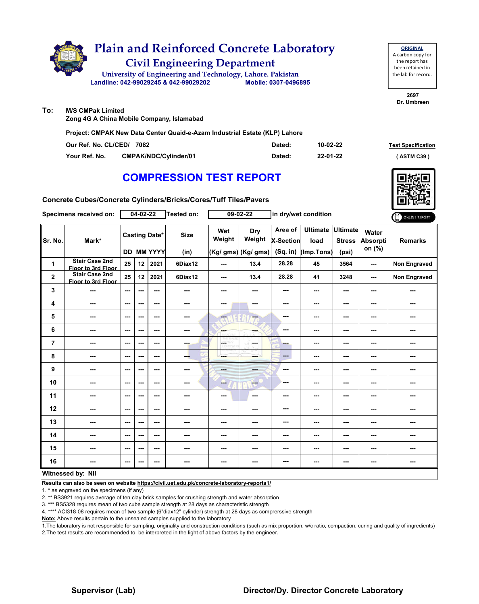

**ORIGINAL** A carbon copy for the report has been retained in the lab for record.

**2697 Dr. Umbreen**

**To: M/S CMPak Limited**

**Zong 4G A China Mobile Company, Islamabad**

**Project: CMPAK New Data Center Quaid-e-Azam Industrial Estate (KLP) Lahore** 

| Our Ref. No. CL/CED/ 7082 |                       | Dated: | 10-02-22 | <b>Test Specification</b> |
|---------------------------|-----------------------|--------|----------|---------------------------|
| Your Ref. No.             | CMPAK/NDC/Cylinder/01 | Dated: | 22-01-22 | (ASTM C39)                |

# **COMPRESSION TEST REPORT**

**Concrete Cubes/Concrete Cylinders/Bricks/Cores/Tuff Tiles/Pavers**

|                | Specimens received on:                      |                          | $04 - 02 - 22$ |                                           | Tested on:               |               | $09 - 02 - 22$                       | in dry/wet condition             |                                       |                                           |                                    | ONLINE REPORT       |
|----------------|---------------------------------------------|--------------------------|----------------|-------------------------------------------|--------------------------|---------------|--------------------------------------|----------------------------------|---------------------------------------|-------------------------------------------|------------------------------------|---------------------|
| Sr. No.        | Mark*                                       |                          |                | <b>Casting Date*</b><br><b>DD MM YYYY</b> | <b>Size</b><br>(in)      | Wet<br>Weight | Dry<br>Weight<br>(Kg/ gms) (Kg/ gms) | Area of<br>X-Section<br>(Sq. in) | <b>Ultimate</b><br>load<br>(Imp.Tons) | <b>Ultimate</b><br><b>Stress</b><br>(psi) | Water<br><b>Absorpti</b><br>on (%) | <b>Remarks</b>      |
| 1              | <b>Stair Case 2nd</b><br>Floor to 3rd Floor | 25                       | 12             | 2021                                      | 6Diax12                  | ---           | 13.4                                 | 28.28                            | 45                                    | 3564                                      | ---                                | Non Engraved        |
| $\mathbf 2$    | <b>Stair Case 2nd</b><br>Floor to 3rd Floor | 25                       | 12             | 2021                                      | 6Diax12                  | ---           | 13.4                                 | 28.28                            | 41                                    | 3248                                      | ---                                | <b>Non Engraved</b> |
| 3              | ---                                         | $\overline{\phantom{a}}$ | ---            | ---                                       | ---                      | ---           | ---                                  | ---                              | ---                                   | ---                                       | ---                                | ---                 |
| 4              | ---                                         | $-$                      | ---            | $- - -$                                   | $\sim$ $\sim$            | ---           | $\sim$                               | ---                              | ---                                   | ---                                       | ---                                | ---                 |
| 5              | ---                                         | $-$                      | ---            | ---                                       | $- - -$                  | $- - -$       | $\overline{a}$                       | ---                              | ---                                   | ---                                       | ---                                | ---                 |
| 6              | ---                                         | $\overline{\phantom{a}}$ | ---            | ---                                       | $\overline{\phantom{a}}$ | ---           | ---                                  | ---                              | ---                                   | ---                                       | ---                                | ---                 |
| $\overline{7}$ | ---                                         | $\sim$                   | ---            | $--$                                      | ---                      | LGST          | in med                               | ---                              | ---                                   | ---                                       | ---                                | ---                 |
| 8              | ---                                         | $\sim$ $\sim$            | ---            | ---                                       | ---                      | ---           | ---                                  | ---                              | ---                                   | $--$                                      | ---                                | ---                 |
| 9              | ---                                         | $\sim$ $\sim$            | ---            | ---                                       | $\sim$                   | <b>STAR</b>   | ---                                  | ---                              | ---                                   | ---                                       | ---                                | ---                 |
| 10             | ---                                         | $\overline{\phantom{a}}$ | ---            | ---                                       | ---                      | ---           | $-$                                  | ---                              | ---                                   | ---                                       | ---                                | ---                 |
| 11             | ---                                         | $\overline{\phantom{a}}$ | ---            | ---                                       | ---                      | ---           | $\sim$                               | ---                              | ---                                   | ---                                       | ---                                | ---                 |
| 12             | ---                                         | $\sim$ $\sim$            | ---            | ---                                       | ---                      | ---           | ---                                  | ---                              | ---                                   | ---                                       | ---                                | ---                 |
| 13             | ---                                         | $-$                      | ---            | ---                                       | ---                      | ---           | ---                                  | ---                              | ---                                   | ---                                       | ---                                | ---                 |
| 14             | ---                                         | $\sim$                   | ---            | ---                                       | ---                      | ---           | ---                                  | ---                              | ---                                   | ---                                       | ---                                | ---                 |
| 15             | ---                                         | $\sim$ $\sim$            | ---            | $--$                                      | ---                      | ---           | ---                                  | ---                              | ---                                   | ---                                       | ---                                | ---                 |
| 16             | ---                                         | ---                      | ---            | ---                                       | ---                      | ---           | ---                                  | ---                              | ---                                   | ---                                       | ---                                | ---                 |
|                | <b>Witnessed by: Nil</b>                    |                          |                |                                           |                          |               |                                      |                                  |                                       |                                           |                                    |                     |

### **Witnessed by: Nil**

**Results can also be seen on website https://civil.uet.edu.pk/concrete-laboratory-reports1/**

1. \* as engraved on the specimens (if any)

2. \*\* BS3921 requires average of ten clay brick samples for crushing strength and water absorption

3. \*\*\* BS5328 requires mean of two cube sample strength at 28 days as characteristic strength

4. \*\*\*\* ACI318-08 requires mean of two sample (6"diax12" cylinder) strength at 28 days as comprerssive strength

**Note:** Above results pertain to the unsealed samples supplied to the laboratory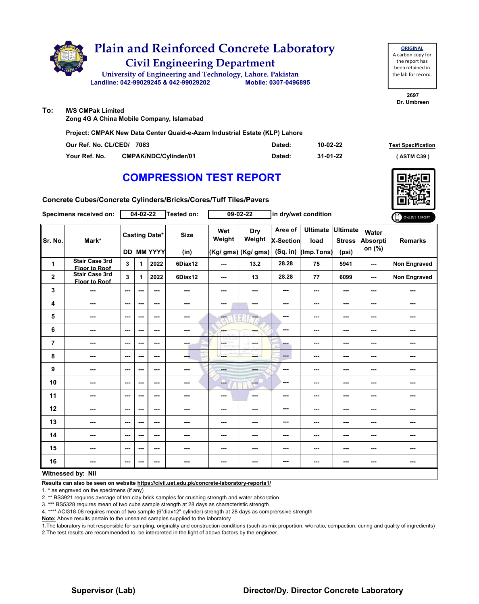

| <b>ORIGINAL</b>     |
|---------------------|
| A carbon copy for   |
| the report has      |
| been retained in    |
| the lab for record. |
|                     |

**2697 Dr. Umbreen**

**To: M/S CMPak Limited**

**Zong 4G A China Mobile Company, Islamabad**

**Concrete Cubes/Concrete Cylinders/Bricks/Cores/Tuff Tiles/Pavers**

**Project: CMPAK New Data Center Quaid-e-Azam Industrial Estate (KLP) Lahore**

| Our Ref. No. CL/CED/ 7083 |                       | Dated: | 10-02-22 | <b>Test Specification</b> |
|---------------------------|-----------------------|--------|----------|---------------------------|
| Your Ref. No.             | CMPAK/NDC/Cvlinder/01 | Dated: | 31-01-22 | ASTM C39                  |

# **COMPRESSION TEST REPORT**

| Specimens received on: |                                               | $04 - 02 - 22$<br>Tested on: |     |                                           | $09 - 02 - 22$      |               | in dry/wet condition                 | ONLINE REPORT                           |                                       |                                           |                                    |                     |
|------------------------|-----------------------------------------------|------------------------------|-----|-------------------------------------------|---------------------|---------------|--------------------------------------|-----------------------------------------|---------------------------------------|-------------------------------------------|------------------------------------|---------------------|
| Sr. No.                | Mark*                                         |                              |     | <b>Casting Date*</b><br><b>DD MM YYYY</b> | <b>Size</b><br>(in) | Wet<br>Weight | Dry<br>Weight<br>(Kg/ gms) (Kg/ gms) | Area of<br><b>X-Section</b><br>(Sq. in) | <b>Ultimate</b><br>load<br>(Imp.Tons) | <b>Ultimate</b><br><b>Stress</b><br>(psi) | Water<br><b>Absorpti</b><br>on (%) | <b>Remarks</b>      |
| $\mathbf{1}$           | <b>Stair Case 3rd</b><br><b>Floor to Roof</b> | 3                            | 1   | 2022                                      | 6Diax12             | ---           | 13.2                                 | 28.28                                   | 75                                    | 5941                                      | ---                                | <b>Non Engraved</b> |
| $\mathbf{2}$           | <b>Stair Case 3rd</b><br><b>Floor to Roof</b> | 3                            | 1   | 2022                                      | 6Diax12             | ---           | 13                                   | 28.28                                   | 77                                    | 6099                                      | ---                                | <b>Non Engraved</b> |
| 3                      | ---                                           | $-$                          | --- | $- - -$                                   | ---                 | ---           | ---                                  | ---                                     | $\sim$ $\sim$                         | ---                                       | ---                                | ---                 |
| 4                      | ---                                           | $\overline{\phantom{a}}$     | --- | $--$                                      |                     | ---           |                                      | ---                                     | ---                                   | ---                                       | ---                                | ---                 |
| 5                      | ---                                           | $\sim$ $\sim$                | --- | ---                                       | ---                 | ---           | ---                                  | ---                                     | $\sim$                                | ---                                       | ---                                | ---                 |
| 6                      | ---                                           | $\overline{\phantom{a}}$     | --- | $--$                                      | ---                 | ---           | ---                                  | ---                                     | ---                                   | ---                                       | ---                                | ---                 |
| $\overline{7}$         | ---                                           | $\sim$                       | --- | ---                                       | ---                 | <b>CETHY</b>  | ---                                  | ---                                     | ---                                   | ---                                       | ---                                | ---                 |
| 8                      | ---                                           | ---                          | --- | ---                                       | ---                 | والمراد       | mente di                             | $---$                                   | ---                                   | ---                                       | ---                                | ---                 |
| 9                      | ---                                           | ---                          | --- | ---                                       |                     | ---           | ---                                  | ---                                     | ---                                   | ---                                       | ---                                |                     |
| 10                     | ---                                           | ---                          | --- | $--$                                      | ---                 | --            | $-$                                  | ---                                     | ---                                   | ---                                       | ---                                |                     |
| 11                     | ---                                           | $\overline{\phantom{a}}$     | --- | $- - -$                                   | ---                 | ---           | ---                                  | ---                                     | ---                                   | ---                                       | ---                                | ---                 |
| 12                     | ---                                           | $\sim$ $\sim$                | --- | ---                                       | ---                 | ---           | ---                                  | ---                                     | ---                                   | ---                                       | ---                                | ---                 |
| 13                     | ---                                           | $\sim$                       | --- | ---                                       | ---                 | ---           | ---                                  | ---                                     | ---                                   | ---                                       | ---                                | ---                 |
| 14                     | ---                                           | $\sim$                       | --- | $--$                                      | ---                 | ---           | ---                                  | ---                                     | ---                                   | ---                                       | ---                                | ---                 |
| 15                     | ---                                           | $\overline{\phantom{a}}$     | --- | $--$                                      | ---                 | ---           | ---                                  | ---                                     | ---                                   | ---                                       | ---                                | ---                 |
| 16                     |                                               | ---                          | --- | ---                                       | ---                 | ---           | ---                                  | ---                                     | ---                                   | ---                                       | ---                                | ---                 |
| 1.0001                 | . .<br>1.111                                  |                              |     |                                           |                     |               |                                      |                                         |                                       |                                           |                                    |                     |

### **Witnessed by: Nil**

**Results can also be seen on website https://civil.uet.edu.pk/concrete-laboratory-reports1/**

1. \* as engraved on the specimens (if any)

2. \*\* BS3921 requires average of ten clay brick samples for crushing strength and water absorption

3. \*\*\* BS5328 requires mean of two cube sample strength at 28 days as characteristic strength

4. \*\*\*\* ACI318-08 requires mean of two sample (6"diax12" cylinder) strength at 28 days as comprerssive strength

**Note:** Above results pertain to the unsealed samples supplied to the laboratory

1.The laboratory is not responsible for sampling, originality and construction conditions (such as mix proportion, w/c ratio, compaction, curing and quality of ingredients) 2.The test results are recommended to be interpreted in the light of above factors by the engineer.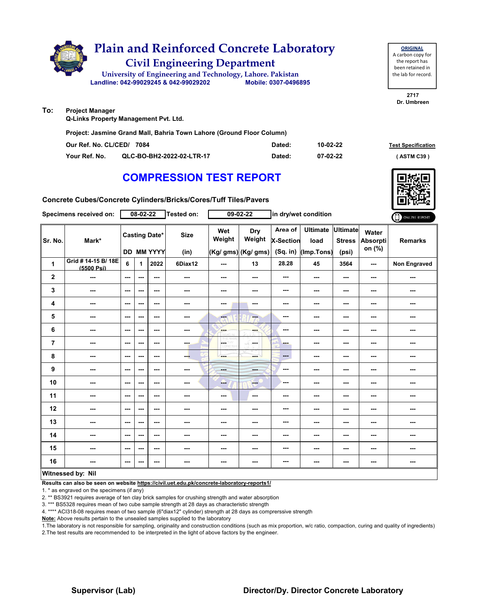

### **To: Project Manager**

**Q-Links Property Management Pvt. Ltd.** 

**Project: Jasmine Grand Mall, Bahria Town Lahore (Ground Floor Column)**

| Our Ref. No. CL/CED/ 7084 |                           | Dated: | 10-02-22 | <b>Test Specification</b> |
|---------------------------|---------------------------|--------|----------|---------------------------|
| Your Ref. No.             | QLC-BO-BH2-2022-02-LTR-17 | Dated: | 07-02-22 | <b>ASTM C39</b> '         |

## **COMPRESSION TEST REPORT**

**Concrete Cubes/Concrete Cylinders/Bricks/Cores/Tuff Tiles/Pavers**

|                | Specimens received on:            |                          | 08-02-22 |                                    | Tested on:               |               | $09-02-22$                                  |                                         | in dry/wet condition                  |                                           |                                           | ONLINE REPORT       |
|----------------|-----------------------------------|--------------------------|----------|------------------------------------|--------------------------|---------------|---------------------------------------------|-----------------------------------------|---------------------------------------|-------------------------------------------|-------------------------------------------|---------------------|
| Sr. No.        | Mark*                             |                          |          | <b>Casting Date*</b><br>DD MM YYYY | <b>Size</b><br>(in)      | Wet<br>Weight | <b>Dry</b><br>Weight<br>(Kg/ gms) (Kg/ gms) | Area of<br><b>X-Section</b><br>(Sq. in) | <b>Ultimate</b><br>load<br>(Imp.Tons) | <b>Ultimate</b><br><b>Stress</b><br>(psi) | <b>Water</b><br><b>Absorpti</b><br>on (%) | <b>Remarks</b>      |
| $\mathbf{1}$   | Grid # 14-15 B/ 18E<br>(5500 Psi) | 6                        | 1        | 2022                               | 6Diax12                  | $- - -$       | 13                                          | 28.28                                   | 45                                    | 3564                                      | $- - -$                                   | <b>Non Engraved</b> |
| $\mathbf{2}$   | ---                               | $\sim$ $\sim$            | ---      | ---                                | $\sim$                   | ---           | $\sim$ $\sim$                               | ---                                     | ---                                   | ---                                       | $\sim$                                    | ---                 |
| 3              | ---                               | $\overline{\phantom{a}}$ | ---      | $--$                               | $\overline{\phantom{a}}$ | ---           | $\sim$                                      | ---                                     | ---                                   | ---                                       | ---                                       | ---                 |
| 4              | ---                               | $\overline{\phantom{a}}$ | ---      | $--$                               | ---                      | ---           | $\sim$                                      | ---                                     | ---                                   | ---                                       | ---                                       | ---                 |
| 5              | ---                               | $\overline{\phantom{a}}$ | ---      | ---                                | ---                      | ---           | ---                                         | ---                                     | ---                                   | ---                                       | ---                                       | ---                 |
| 6              | ---                               | $\overline{\phantom{a}}$ | ---      | $--$                               | $\sim$                   | <b>SHOP</b>   | ---                                         | ---                                     | ---                                   | ---                                       | ---                                       | ---                 |
| $\overline{7}$ | ---                               | $\overline{\phantom{a}}$ | ---      | $--$                               | ---                      | <b>CETHY</b>  | -S<br>---                                   | ---                                     | ---                                   | ---                                       | ---                                       | ---                 |
| 8              | ---                               | $\sim$ $\sim$            | ---      | $--$                               | ---                      | ---           | ---                                         | $\qquad \qquad \cdots$                  | ---                                   | ---                                       | ---                                       | ---                 |
| 9              | ---                               | $-$                      | ---      | $- - -$                            | $- - -$                  | <b>Head</b>   | <b>AND</b>                                  | ---                                     | ---                                   | ---                                       | ---                                       | ---                 |
| 10             | ---                               | $\overline{\phantom{a}}$ | ---      | $--$                               | $\sim$                   | --            | ---                                         | ---                                     | ---                                   | ---                                       | ---                                       | ---                 |
| 11             | ---                               | $\overline{\phantom{a}}$ | ---      | $--$                               | $\overline{\phantom{a}}$ | $--$          | $\sim$                                      | $\overline{\phantom{a}}$                | ---                                   | ---                                       | ---                                       |                     |
| 12             | ---                               | $\sim$ $\sim$            | ---      | $--$                               | $\overline{\phantom{a}}$ | ---           | ---                                         | ---                                     | ---                                   | ---                                       | ---                                       | ---                 |
| 13             | ---                               | $\sim$                   | ---      | $--$                               | ---                      | ---           | ---                                         | ---                                     | ---                                   | ---                                       | ---                                       | ---                 |
| 14             | ---                               | ---                      | ---      | $--$                               | ---                      | ---           | ---                                         | ---                                     | ---                                   | ---                                       | ---                                       | ---                 |
| 15             | ---                               | $\overline{\phantom{a}}$ | ---      | ---                                | ---                      | ---           | ---                                         | ---                                     | ---                                   | ---                                       | ---                                       |                     |
| 16             |                                   | $\sim$                   | ---      | ---                                | ---                      | ---           |                                             | ---                                     | ---                                   | ---                                       | ---                                       | ---                 |
|                | Witnossod by: Nil                 |                          |          |                                    |                          |               |                                             |                                         |                                       |                                           |                                           |                     |

### **Witnessed by: Nil**

**Results can also be seen on website https://civil.uet.edu.pk/concrete-laboratory-reports1/**

1. \* as engraved on the specimens (if any)

2. \*\* BS3921 requires average of ten clay brick samples for crushing strength and water absorption

3. \*\*\* BS5328 requires mean of two cube sample strength at 28 days as characteristic strength

4. \*\*\*\* ACI318-08 requires mean of two sample (6"diax12" cylinder) strength at 28 days as comprerssive strength

**Note:** Above results pertain to the unsealed samples supplied to the laboratory

1.The laboratory is not responsible for sampling, originality and construction conditions (such as mix proportion, w/c ratio, compaction, curing and quality of ingredients) 2.The test results are recommended to be interpreted in the light of above factors by the engineer.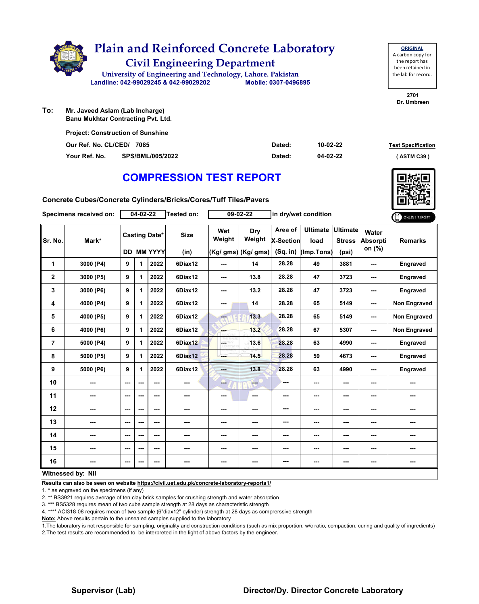

**To: Banu Mukhtar Contracting Pvt. Ltd.**

| <b>Project: Construction of Sunshine</b> |                         |        |          |                           |  |  |  |  |  |  |
|------------------------------------------|-------------------------|--------|----------|---------------------------|--|--|--|--|--|--|
| Our Ref. No. CL/CED/ 7085                |                         | Dated: | 10-02-22 | <b>Test Specification</b> |  |  |  |  |  |  |
| Your Ref. No.                            | <b>SPS/BML/005/2022</b> | Dated: | 04-02-22 | (ASTM C39)                |  |  |  |  |  |  |

# **COMPRESSION TEST REPORT**

**Concrete Cubes/Concrete Cylinders/Bricks/Cores/Tuff Tiles/Pavers**

|                | Specimens received on: |               | 04-02-22 |                                           | <b>Tested on:</b>   |               | 09-02-22                             | in dry/wet condition                      |                                       |                                           |                                    | ONLINE REPORT       |
|----------------|------------------------|---------------|----------|-------------------------------------------|---------------------|---------------|--------------------------------------|-------------------------------------------|---------------------------------------|-------------------------------------------|------------------------------------|---------------------|
| Sr. No.        | Mark*                  |               |          | <b>Casting Date*</b><br><b>DD MM YYYY</b> | <b>Size</b><br>(in) | Wet<br>Weight | Dry<br>Weight<br>(Kg/ gms) (Kg/ gms) | Area of<br><b>X-Section</b><br>$(Sq.$ in) | <b>Ultimate</b><br>load<br>(Imp.Tons) | <b>Ultimate</b><br><b>Stress</b><br>(psi) | Water<br><b>Absorpti</b><br>on (%) | <b>Remarks</b>      |
| 1              | 3000 (P4)              | 9             | 1        | 2022                                      | 6Diax12             | ---           | 14                                   | 28.28                                     | 49                                    | 3881                                      | ---                                | Engraved            |
| $\mathbf{2}$   | 3000 (P5)              | 9             | 1        | 2022                                      | 6Diax12             | ---           | 13.8                                 | 28.28                                     | 47                                    | 3723                                      | ---                                | <b>Engraved</b>     |
| 3              | 3000 (P6)              | 9             | 1        | 2022                                      | 6Diax12             | ---           | 13.2                                 | 28.28                                     | 47                                    | 3723                                      | ---                                | Engraved            |
| 4              | 4000 (P4)              | 9             | 1        | 2022                                      | 6Diax12             | ---           | 14                                   | 28.28                                     | 65                                    | 5149                                      | ---                                | <b>Non Engraved</b> |
| 5              | 4000 (P5)              | 9             | 1        | 2022                                      | 6Diax12             | ---           | 13.3                                 | 28.28                                     | 65                                    | 5149                                      | ---                                | Non Engraved        |
| 6              | 4000 (P6)              | 9             | 1        | 2022                                      | 6Diax12             | ---           | 13.2                                 | 28.28                                     | 67                                    | 5307                                      | ---                                | <b>Non Engraved</b> |
| $\overline{7}$ | 5000 (P4)              | 9             | 1        | 2022                                      | 6Diax12             | LGST          | 13.6                                 | 28.28                                     | 63                                    | 4990                                      | ---                                | Engraved            |
| 8              | 5000 (P5)              | 9             | 1        | 2022                                      | 6Diax12             | ---           | 14.5                                 | 28.28                                     | 59                                    | 4673                                      | ---                                | <b>Engraved</b>     |
| 9              | 5000 (P6)              | 9             | 1        | 2022                                      | 6Diax12             | $- - -$       | 13.8                                 | 28.28                                     | 63                                    | 4990                                      | ---                                | <b>Engraved</b>     |
| 10             | ---                    | ---           | ---      | ---                                       | ---                 | ---           | ---                                  | ---                                       | ---                                   | ---                                       | ---                                | ---                 |
| 11             | ---                    | $--$          | ---      | ---                                       | ---                 | ---           | ---                                  | ---                                       | ---                                   | ---                                       | ---                                | ---                 |
| 12             | ---                    | ---           | ---      | ---                                       | ---                 | ---           | ---                                  | ---                                       | ---                                   | ---                                       | ---                                | ---                 |
| 13             | ---                    | ---           | ---      | $- - -$                                   | $- - -$             | ---           | ---                                  | ---                                       | ---                                   | ---                                       | ---                                | ---                 |
| 14             | ---                    | ---           | ---      | ---                                       | ---                 | ---           | ---                                  | ---                                       | ---                                   | ---                                       | ---                                | ---                 |
| 15             | ---                    | $--$          | ---      | ---                                       | ---                 | ---           | ---                                  | ---                                       | ---                                   | ---                                       | ---                                | ---                 |
| 16             | ---                    | $\sim$ $\sim$ | ---      | ---                                       | ---                 | ---           | ---                                  | ---                                       | ---                                   | ---                                       | ---                                | ---                 |
|                | Witnessed by: Nil      |               |          |                                           |                     |               |                                      |                                           |                                       |                                           |                                    |                     |

**Results can also be seen on website https://civil.uet.edu.pk/concrete-laboratory-reports1/**

1. \* as engraved on the specimens (if any)

2. \*\* BS3921 requires average of ten clay brick samples for crushing strength and water absorption

3. \*\*\* BS5328 requires mean of two cube sample strength at 28 days as characteristic strength

4. \*\*\*\* ACI318-08 requires mean of two sample (6"diax12" cylinder) strength at 28 days as comprerssive strength

**Note:** Above results pertain to the unsealed samples supplied to the laboratory

1.The laboratory is not responsible for sampling, originality and construction conditions (such as mix proportion, w/c ratio, compaction, curing and quality of ingredients) 2.The test results are recommended to be interpreted in the light of above factors by the engineer.



**ORIGINAL** A carbon copy for the report has been retained in the lab for record.

**2701 Dr. Umbreen**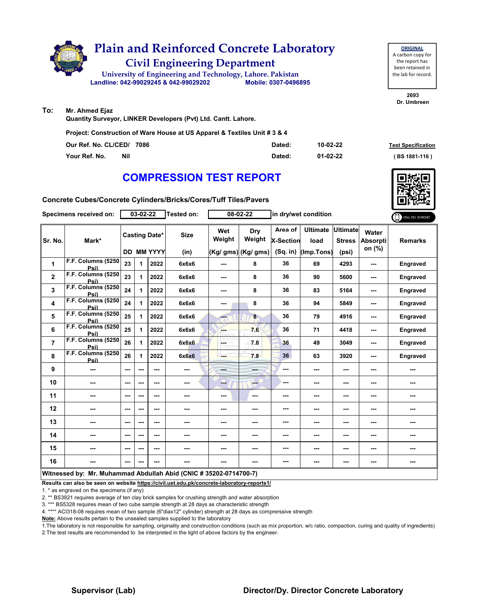

# **Plain and Reinforced Concrete Laboratory**

**Civil Engineering Department**

**Landline: 042-99029245 & 042-99029202 Mobile: 0307-0496895 University of Engineering and Technology, Lahore. Pakistan**

**ORIGINAL** A carbon copy for the report has been retained in the lab for record.

**2693 Dr. Umbreen**

#### **To: Mr. Ahmed Ejaz**

**Quantity Surveyor, LINKER Developers (Pvt) Ltd. Cantt. Lahore.**

**Project: Construction of Ware House at US Apparel & Textiles Unit # 3 & 4**

| Our Ref. No. CL/CED/ 7086 | Dated: | 10-02-22 | <b>Test Specification</b> |
|---------------------------|--------|----------|---------------------------|
| Your Ref. No.<br>Nil      | Dated: | 01-02-22 | (BS 1881-116)             |

# **COMPRESSION TEST REPORT**

**Concrete Cubes/Concrete Cylinders/Bricks/Cores/Tuff Tiles/Pavers**

|                | Specimens received on:                                            |     | 03-02-22                 |                   | <b>Tested on:</b> |                          | 08-02-22                    |                         | in dry/wet condition             |                          |                | ONLINE REPORT   |
|----------------|-------------------------------------------------------------------|-----|--------------------------|-------------------|-------------------|--------------------------|-----------------------------|-------------------------|----------------------------------|--------------------------|----------------|-----------------|
| Sr. No.        | <b>Casting Date*</b><br>Mark*                                     |     |                          | <b>Size</b>       | Wet<br>Weight     | Dry<br>Weight            | Area of<br><b>X-Section</b> | <b>Ultimate</b><br>load | <b>Ultimate</b><br><b>Stress</b> | Water<br><b>Absorpti</b> | <b>Remarks</b> |                 |
|                |                                                                   |     |                          | <b>DD MM YYYY</b> | (in)              |                          | $(Kg/gms)$ (Kg/ gms)        | (Sq. in)                | (Imp.Tons)                       | (psi)                    | on (%)         |                 |
| 1              | F.F. Columns (5250<br>Psi)                                        | 23  | $\mathbf 1$              | 2022              | 6x6x6             | ---                      | 8                           | 36                      | 69                               | 4293                     | ---            | <b>Engraved</b> |
| $\mathbf 2$    | F.F. Columns (5250<br>Psi)                                        | 23  | $\mathbf{1}$             | 2022              | 6x6x6             | ---                      | 8                           | 36                      | 90                               | 5600                     | ---            | Engraved        |
| 3              | F.F. Columns (5250<br>Psi)                                        | 24  | 1                        | 2022              | 6x6x6             | ---                      | 8                           | 36                      | 83                               | 5164                     |                | Engraved        |
| 4              | F.F. Columns (5250<br>Psi)                                        | 24  | $\mathbf 1$              | 2022              | 6x6x6             | ---                      | 8                           | 36                      | 94                               | 5849                     | ---            | Engraved        |
| 5              | F.F. Columns (5250<br>Psi)                                        | 25  | $\mathbf 1$              | 2022              | 6x6x6             | ---                      | 8                           | 36                      | 79                               | 4916                     | ---            | Engraved        |
| 6              | F.F. Columns (5250<br>Psi)                                        | 25  | $\mathbf 1$              | 2022              | 6x6x6             | ---                      | 7.6                         | 36                      | 71                               | 4418                     | ---            | Engraved        |
| $\overline{7}$ | F.F. Columns (5250<br>Psi)                                        | 26  | $\mathbf 1$              | 2022              | 6x6x6             | ÷                        | 7.8                         | 36                      | 49                               | 3049                     | ---            | Engraved        |
| 8              | F.F. Columns (5250<br>Psi)                                        | 26  | 1                        | 2022              | 6x6x6             |                          | 7.8                         | 36                      | 63                               | 3920                     | ---            | Engraved        |
| 9              |                                                                   | --- | ---                      | ---               | ---               | ---                      | ---                         | ---                     | ---                              | ---                      | ---            | ---             |
| 10             | ---                                                               | --- | $\overline{\phantom{a}}$ | ---               | ---               | --                       | $-$                         | ---                     | ---                              | ---                      | ---            | ---             |
| 11             | ---                                                               | --- | ---                      | ---               | ---               | $\hspace{0.05cm} \ldots$ | ---                         | ---                     | ---                              | ---                      | ---            | ---             |
| 12             | ---                                                               | --- | $\overline{\phantom{a}}$ | ---               | ---               | ---                      | ---                         | ---                     | ---                              | ---                      | ---            | ---             |
| 13             | ---                                                               | --- | $- - -$                  | $- - -$           | ---               | ---                      | ---                         | ---                     | ---                              | ---                      | ---            | ---             |
| 14             | ---                                                               | --- | ---                      | ---               |                   | ---                      | ---                         | ---                     | ---                              | ---                      | ---            | ---             |
| 15             | ---                                                               | --- | ---                      | ---               |                   | ---                      | ---                         | ---                     | ---                              | ---                      |                | ---             |
| 16             | ---                                                               | --- | ---                      | ---               | ---               | ---                      | ---                         | ---                     | ---                              | ---                      | ---            | ---             |
|                | Witnessed by: Mr. Muhammad Abdullah Abid (CNIC # 35202-0714700-7) |     |                          |                   |                   |                          |                             |                         |                                  |                          |                |                 |

**Results can also be seen on website https://civil.uet.edu.pk/concrete-laboratory-reports1/**

1. \* as engraved on the specimens (if any)

2. \*\* BS3921 requires average of ten clay brick samples for crushing strength and water absorption

3. \*\*\* BS5328 requires mean of two cube sample strength at 28 days as characteristic strength

4. \*\*\*\* ACI318-08 requires mean of two sample (6"diax12" cylinder) strength at 28 days as comprerssive strength

**Note:** Above results pertain to the unsealed samples supplied to the laboratory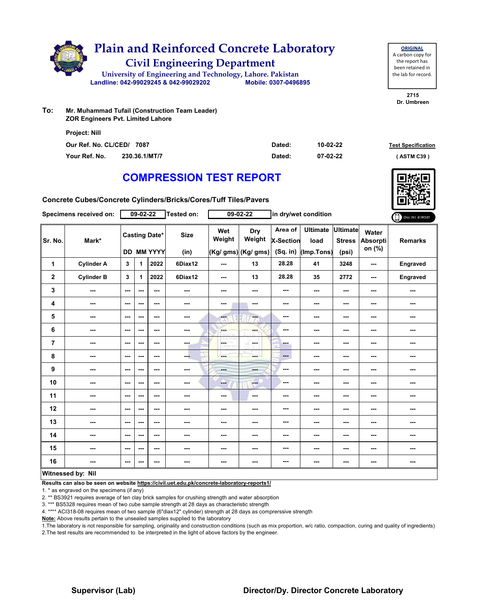

**ORIGINAL** A carbon copy for the report has been retained in the lab for record.

**2715 Dr. Umbreen**

**To: Mr. Muhammad Tufail (Construction Team Leader) ZOR Engineers Pvt. Limited Lahore**

| <b>Project: Nill</b>      |               |        |                                       |  |
|---------------------------|---------------|--------|---------------------------------------|--|
| Our Ref. No. CL/CED/ 7087 |               | Dated: | 10-02-22<br><b>Test Specification</b> |  |
| Your Ref. No.             | 230.36.1/MT/7 | Dated: | 07-02-22<br>(ASTM C39)                |  |

# **COMPRESSION TEST REPORT**

**Concrete Cubes/Concrete Cylinders/Bricks/Cores/Tuff Tiles/Pavers**

|                | Specimens received on:   |                          | $09 - 02 - 22$ |                                           | <b>Tested on:</b>   |                               | $09 - 02 - 22$                              |                                           | in dry/wet condition                  |                                           |                                    | ONLINE REPORT  |
|----------------|--------------------------|--------------------------|----------------|-------------------------------------------|---------------------|-------------------------------|---------------------------------------------|-------------------------------------------|---------------------------------------|-------------------------------------------|------------------------------------|----------------|
| Sr. No.        | Mark*                    |                          |                | <b>Casting Date*</b><br><b>DD MM YYYY</b> | <b>Size</b><br>(in) | Wet<br>Weight                 | <b>Dry</b><br>Weight<br>(Kg/ gms) (Kg/ gms) | Area of<br><b>X-Section</b><br>$(Sq.$ in) | <b>Ultimate</b><br>load<br>(Imp.Tons) | <b>Ultimate</b><br><b>Stress</b><br>(psi) | Water<br><b>Absorpti</b><br>on (%) | <b>Remarks</b> |
| 1              | <b>Cylinder A</b>        | 3                        | 1              | 2022                                      | 6Diax12             | ---                           | 13                                          | 28.28                                     | 41                                    | 3248                                      | ---                                | Engraved       |
| $\mathbf 2$    | <b>Cylinder B</b>        | 3                        | 1              | 2022                                      | 6Diax12             | ---                           | 13                                          | 28.28                                     | 35                                    | 2772                                      | ---                                | Engraved       |
| 3              | ---                      | $--$                     | ---            | $\overline{\phantom{a}}$                  | ---                 | ---                           | $\sim$                                      | ---                                       | ---                                   | ---                                       | ---                                | ---            |
| 4              | $--$                     | $\overline{\phantom{a}}$ | ---            | $\sim$                                    | ---                 | ---                           | ---                                         | ---                                       | ---                                   | ---                                       |                                    | ---            |
| 5              | $\sim$                   | $\overline{\phantom{a}}$ | ---            | $\sim$                                    | $\sim$              | <b>A</b>                      | ---                                         | $\sim$                                    | ---                                   | ---                                       | ---                                | ---            |
| 6              | ---                      | $\overline{\phantom{a}}$ | ---            | $- - -$                                   | ---                 | ---                           | ---                                         | ---                                       | ---                                   | ---                                       | ---                                | ---            |
| $\overline{7}$ | $\overline{\phantom{a}}$ | $\sim$                   | ---            | $\sim$ $\sim$                             | $-1$                | LGET<br>1999<br><b>D.Wing</b> | ---<br>a S                                  | ---                                       | ---                                   | ---                                       | ---                                | ---            |
| 8              | ---                      | ---                      | ---            | ---                                       | ---                 | ---                           | mente di                                    | $\qquad \qquad \cdots$                    | ---                                   | ---                                       |                                    | ---            |
| 9              | ---                      | $\sim$                   | ---            | $\sim$ $\sim$                             | $\sim$              | ---                           | ---                                         | $-$                                       | ---                                   | ---                                       | ---                                | ---            |
| 10             | $- - -$                  | $\sim$ $\sim$            | ---            | $\sim$ $\sim$                             | $- - -$             | ---                           | <b>Free</b>                                 | ---                                       | ---                                   | $\overline{\phantom{a}}$                  | ---                                | ---            |
| 11             | $\overline{\phantom{a}}$ | $--$                     | ---            | $\overline{\phantom{a}}$                  | ---                 | ---                           | $\overline{\phantom{a}}$                    | ---                                       | ---                                   | ---                                       | ---                                | ---            |
| 12             | ---                      | ---                      | ---            | $\overline{\phantom{a}}$                  | ---                 | ---                           | ---                                         | ---                                       | ---                                   | ---                                       | ---                                | ---            |
| 13             | ---                      | $\sim$                   | ---            | ---                                       | $\sim$              | $\cdots$                      | ---                                         | ---                                       | ---                                   | ---                                       | ---                                | ---            |
| 14             | ---                      | $\sim$ $\sim$            | ---            | $\sim$ $\sim$                             | $\sim$ $\sim$       | ---                           | ---                                         | ---                                       | ---                                   | ---                                       | ---                                | ---            |
| 15             | ---                      | $\overline{\phantom{a}}$ | ---            | $\overline{\phantom{a}}$                  | $\sim$              | ---                           | ---                                         | ---                                       | ---                                   | ---                                       | ---                                | ---            |
| 16             | $\sim$                   | $\sim$                   | ---            | $\sim$                                    | $\sim$              | $\cdots$                      | $\sim$                                      | ---                                       | ---                                   | ---                                       | ---                                | ---            |
|                | Witnessed by: Nil        |                          |                |                                           |                     |                               |                                             |                                           |                                       |                                           |                                    |                |

**Results can also be seen on website https://civil.uet.edu.pk/concrete-laboratory-reports1/**

1. \* as engraved on the specimens (if any)

2. \*\* BS3921 requires average of ten clay brick samples for crushing strength and water absorption

3. \*\*\* BS5328 requires mean of two cube sample strength at 28 days as characteristic strength

4. \*\*\*\* ACI318-08 requires mean of two sample (6"diax12" cylinder) strength at 28 days as comprerssive strength

**Note:** Above results pertain to the unsealed samples supplied to the laboratory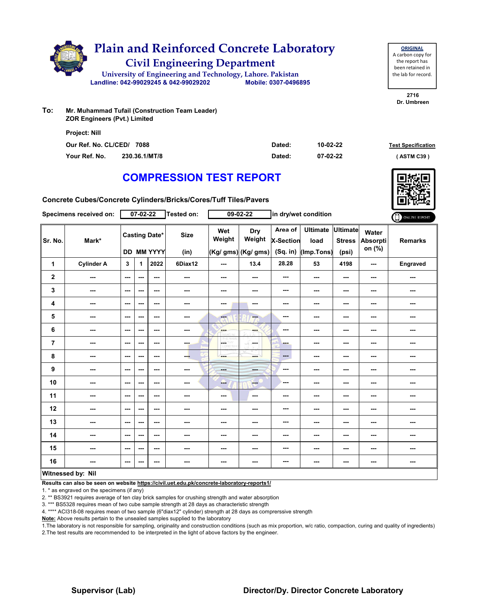

**To: Mr. Muhammad Tufail (Construction Team Leader) ZOR Engineers (Pvt.) Limited**

| <b>Project: Nill</b>      |               |        |          |                           |
|---------------------------|---------------|--------|----------|---------------------------|
| Our Ref. No. CL/CED/ 7088 |               | Dated: | 10-02-22 | <b>Test Specification</b> |
| Your Ref. No.             | 230.36.1/MT/8 | Dated: | 07-02-22 | (ASTM C39)                |

**2716 Dr. Umbreen**

**ORIGINAL** A carbon copy for the report has been retained in the lab for record.

# **COMPRESSION TEST REPORT**

**Concrete Cubes/Concrete Cylinders/Bricks/Cores/Tuff Tiles/Pavers**

|                | Specimens received on: |               | $07 - 02 - 22$ |                                           | Tested on:               |                               | $09 - 02 - 22$                              |                                         | in dry/wet condition                  |                                           |                             | ONLINE REPORT  |
|----------------|------------------------|---------------|----------------|-------------------------------------------|--------------------------|-------------------------------|---------------------------------------------|-----------------------------------------|---------------------------------------|-------------------------------------------|-----------------------------|----------------|
| Sr. No.        | Mark*                  |               |                | <b>Casting Date*</b><br><b>DD MM YYYY</b> | <b>Size</b><br>(in)      | Wet<br>Weight                 | <b>Dry</b><br>Weight<br>(Kg/ gms) (Kg/ gms) | Area of<br><b>X-Section</b><br>(Sq. in) | <b>Ultimate</b><br>load<br>(Imp.Tons) | <b>Ultimate</b><br><b>Stress</b><br>(psi) | Water<br>Absorpti<br>on (%) | <b>Remarks</b> |
| 1              | <b>Cylinder A</b>      | 3             | 1              | 2022                                      | 6Diax12                  | $\sim$ $\sim$                 | 13.4                                        | 28.28                                   | 53                                    | 4198                                      | $\overline{\phantom{a}}$    | Engraved       |
| $\mathbf{2}$   | ---                    | ---           | ---            | $--$                                      | $\cdots$                 | ---                           | ---                                         | ---                                     | ---                                   | $--$                                      | ---                         | ---            |
| 3              | ---                    | ---           | ---            | $--$                                      | ---                      | ---                           | ---                                         | ---                                     | $\sim$                                | ---                                       | ---                         | ---            |
| 4              | ---                    | $--$          | ---            | $\overline{\phantom{a}}$                  | ---                      | ---                           | $\sim$                                      | ---                                     | ---                                   | ---                                       | ---                         | ---            |
| 5              | $--$                   | $\sim$ $\sim$ | ---            | ---                                       | $\overline{\phantom{a}}$ | ---                           | ---                                         | ---                                     | ---                                   | ---                                       | ---                         | ---            |
| 6              | ---                    | ---           | ---            | ---                                       | ---                      | <b>SHOP</b><br><b>Astrain</b> | ---                                         | ---                                     | ---                                   | ---                                       | ---                         | ---            |
| $\overline{7}$ | ---                    | $\sim$ $\sim$ | ---            | ---                                       | ---                      | LOE TH<br>w                   | <b>Service</b>                              | ---                                     | ---                                   | ---                                       | ---                         | ---            |
| 8              | ---                    | $\sim$        | ---            | $\overline{\phantom{a}}$                  | ---                      |                               | ---                                         | ---                                     | ---                                   | $--$                                      | ---                         | ---            |
| 9              | ---                    | $--$          | ---            | ---                                       | $\cdots$                 | <b>POPULAR</b>                | ---                                         | ---                                     | ---                                   | ---                                       | ---                         | ---            |
| 10             | ---                    | $--$          | ---            | $--$                                      | ---                      | --                            | <b>Fee</b>                                  | ---                                     | ---                                   | $--$                                      | ---                         | ---            |
| 11             | ---                    | $\cdots$      | ---            | $\cdots$                                  | ---                      | ---                           | $\sim$                                      | ---                                     | ---                                   | ---                                       | ---                         | ---            |
| 12             | ---                    | ---           | ---            | $--$                                      | ---                      | ---                           | ---                                         | ---                                     | ---                                   | ---                                       | ---                         | ---            |
| 13             | ---                    | ---           | ---            | ---                                       | ---                      | ---                           | ---                                         | ---                                     | ---                                   | ---                                       | ---                         | ---            |
| 14             | ---                    | ---           | ---            | ---                                       | ---                      | ---                           | ---                                         | ---                                     | ---                                   | ---                                       | ---                         | ---            |
| 15             | ---                    | $\sim$ $\sim$ | ---            | ---                                       | ---                      | ---                           | ---                                         | ---                                     | ---                                   | ---                                       | ---                         | ---            |
| 16             | ---                    | ---           | ---            | ---                                       | ---                      | ---                           | ---                                         | ---                                     | ---                                   | ---                                       | ---                         | ---            |
|                | Witnessed by: Nil      |               |                |                                           |                          |                               |                                             |                                         |                                       |                                           |                             |                |

### **Witnessed by: Nil**

**Results can also be seen on website https://civil.uet.edu.pk/concrete-laboratory-reports1/**

1. \* as engraved on the specimens (if any)

2. \*\* BS3921 requires average of ten clay brick samples for crushing strength and water absorption

3. \*\*\* BS5328 requires mean of two cube sample strength at 28 days as characteristic strength

4. \*\*\*\* ACI318-08 requires mean of two sample (6"diax12" cylinder) strength at 28 days as comprerssive strength

**Note:** Above results pertain to the unsealed samples supplied to the laboratory

1.The laboratory is not responsible for sampling, originality and construction conditions (such as mix proportion, w/c ratio, compaction, curing and quality of ingredients) 2.The test results are recommended to be interpreted in the light of above factors by the engineer.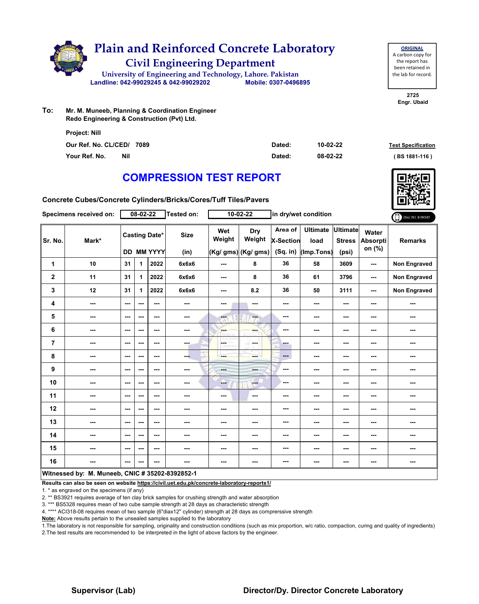

| <b>ORIGINAL</b>     |
|---------------------|
| A carbon copy for   |
| the report has      |
| been retained in    |
| the lab for record. |
|                     |

**2725 Engr. Ubaid**

**To: Mr. M. Muneeb, Planning & Coordination Engineer Redo Engineering & Construction (Pvt) Ltd.**

| Project: Nill               |        |          |                           |
|-----------------------------|--------|----------|---------------------------|
| Our Ref. No. CL/CED/ 7089   | Dated: | 10-02-22 | <b>Test Specification</b> |
| Your Ref. No.<br><b>Nil</b> | Dated: | 08-02-22 | (BS 1881-116)             |

# **COMPRESSION TEST REPORT**

**Concrete Cubes/Concrete Cylinders/Bricks/Cores/Tuff Tiles/Pavers**

|                | Specimens received on:                          |               | 08-02-22 |                                           | <b>Tested on:</b>   |                          | 10-02-22                             |                                         | in dry/wet condition                  |                                           |                             | ONLINE REPORT       |
|----------------|-------------------------------------------------|---------------|----------|-------------------------------------------|---------------------|--------------------------|--------------------------------------|-----------------------------------------|---------------------------------------|-------------------------------------------|-----------------------------|---------------------|
| Sr. No.        | Mark*                                           |               |          | <b>Casting Date*</b><br><b>DD MM YYYY</b> | <b>Size</b><br>(in) | Wet<br>Weight            | Dry<br>Weight<br>(Kg/ gms) (Kg/ gms) | Area of<br><b>X-Section</b><br>(Sq. in) | <b>Ultimate</b><br>load<br>(Imp.Tons) | <b>Ultimate</b><br><b>Stress</b><br>(psi) | Water<br>Absorpti<br>on (%) | <b>Remarks</b>      |
| 1              | 10                                              | 31            | 1        | 2022                                      | 6x6x6               | ---                      | 8                                    | 36                                      | 58                                    | 3609                                      | ---                         | <b>Non Engraved</b> |
| $\mathbf 2$    | 11                                              | 31            | 1.       | 2022                                      | 6x6x6               | $\overline{\phantom{a}}$ | 8                                    | 36                                      | 61                                    | 3796                                      | ---                         | Non Engraved        |
| 3              | 12                                              | 31            | 1        | 2022                                      | 6x6x6               | ---                      | 8.2                                  | 36                                      | 50                                    | 3111                                      | ---                         | Non Engraved        |
| 4              | ---                                             | $--$          | ---      | ---                                       | ---                 | ---                      | ---                                  | ---                                     | ---                                   | ---                                       | ---                         | ---                 |
| 5              | ---                                             | ---           | ---      | ---                                       | ---                 | ---                      | $-$                                  | ---                                     | ---                                   | ---                                       | ---                         | ---                 |
| 6              | ---                                             | ---           | ---      | ---                                       | $\cdots$            | ---                      | ---                                  | ---                                     | ---                                   | ---                                       | ---                         | ---                 |
| $\overline{7}$ | ---                                             | $\sim$ $\sim$ | ---      | $--$                                      | <b>The State</b>    | L.                       | in ma                                | ---                                     | ---                                   | ---                                       | ---                         | ---                 |
| 8              | ---                                             | ---           | ---      | ---                                       | --                  | ---                      | ---                                  | $---$                                   | ---                                   | $\cdots$                                  | ---                         | ---                 |
| 9              | ---                                             | $--$          | ---      | ---                                       | ---                 | ---                      | ---                                  | ---                                     | ---                                   | ---                                       | ---                         | ---                 |
| 10             | ---                                             | $\sim$        | ---      | ---                                       | ---                 | ---                      | ---                                  | ---                                     | ---                                   | ---                                       | ---                         | ---                 |
| 11             | ---                                             | ---           | ---      | ---                                       | ---                 | ---                      | ---                                  | ---                                     | ---                                   | ---                                       | ---                         | ---                 |
| 12             | ---                                             | $--$          | ---      | ---                                       | ---                 | ---                      | ---                                  | ---                                     | ---                                   | ---                                       | ---                         | ---                 |
| 13             | ---                                             | ---           | ---      | $--$                                      | ---                 | ---                      | ---                                  | ---                                     | ---                                   | ---                                       | ---                         | ---                 |
| 14             | ---                                             | $- - -$       | ---      | $- - -$                                   | ---                 | ---                      | ---                                  | ---                                     | ---                                   | ---                                       | ---                         | ---                 |
| 15             | ---                                             | ---           | ---      | ---                                       | ---                 | ---                      | ---                                  | ---                                     | ---                                   | ---                                       | ---                         | ---                 |
| 16             | ---                                             | ---           | ---      | ---                                       | ---                 | ---                      | ---                                  | ---                                     | ---                                   | $--$                                      | ---                         | ---                 |
|                | Witnessed by: M. Muneeb, CNIC # 35202-8392852-1 |               |          |                                           |                     |                          |                                      |                                         |                                       |                                           |                             |                     |

**Results can also be seen on website https://civil.uet.edu.pk/concrete-laboratory-reports1/**

1. \* as engraved on the specimens (if any)

2. \*\* BS3921 requires average of ten clay brick samples for crushing strength and water absorption

3. \*\*\* BS5328 requires mean of two cube sample strength at 28 days as characteristic strength

4. \*\*\*\* ACI318-08 requires mean of two sample (6"diax12" cylinder) strength at 28 days as comprerssive strength

**Note:** Above results pertain to the unsealed samples supplied to the laboratory

1.The laboratory is not responsible for sampling, originality and construction conditions (such as mix proportion, w/c ratio, compaction, curing and quality of ingredients) 2.The test results are recommended to be interpreted in the light of above factors by the engineer.